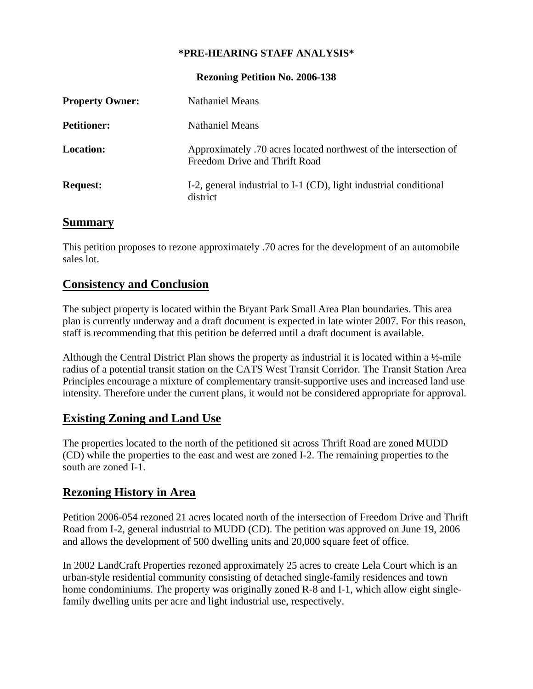#### **\*PRE-HEARING STAFF ANALYSIS\***

**Rezoning Petition No. 2006-138** 

| <b>Property Owner:</b> | <b>Nathaniel Means</b>                                                                            |
|------------------------|---------------------------------------------------------------------------------------------------|
| <b>Petitioner:</b>     | <b>Nathaniel Means</b>                                                                            |
| <b>Location:</b>       | Approximately .70 acres located northwest of the intersection of<br>Freedom Drive and Thrift Road |
| <b>Request:</b>        | I-2, general industrial to I-1 (CD), light industrial conditional<br>district                     |

#### **Summary**

This petition proposes to rezone approximately .70 acres for the development of an automobile sales lot.

## **Consistency and Conclusion**

The subject property is located within the Bryant Park Small Area Plan boundaries. This area plan is currently underway and a draft document is expected in late winter 2007. For this reason, staff is recommending that this petition be deferred until a draft document is available.

Although the Central District Plan shows the property as industrial it is located within a  $\frac{1}{2}$ -mile radius of a potential transit station on the CATS West Transit Corridor. The Transit Station Area Principles encourage a mixture of complementary transit-supportive uses and increased land use intensity. Therefore under the current plans, it would not be considered appropriate for approval.

### **Existing Zoning and Land Use**

The properties located to the north of the petitioned sit across Thrift Road are zoned MUDD (CD) while the properties to the east and west are zoned I-2. The remaining properties to the south are zoned I-1.

# **Rezoning History in Area**

Petition 2006-054 rezoned 21 acres located north of the intersection of Freedom Drive and Thrift Road from I-2, general industrial to MUDD (CD). The petition was approved on June 19, 2006 and allows the development of 500 dwelling units and 20,000 square feet of office.

In 2002 LandCraft Properties rezoned approximately 25 acres to create Lela Court which is an urban-style residential community consisting of detached single-family residences and town home condominiums. The property was originally zoned R-8 and I-1, which allow eight singlefamily dwelling units per acre and light industrial use, respectively.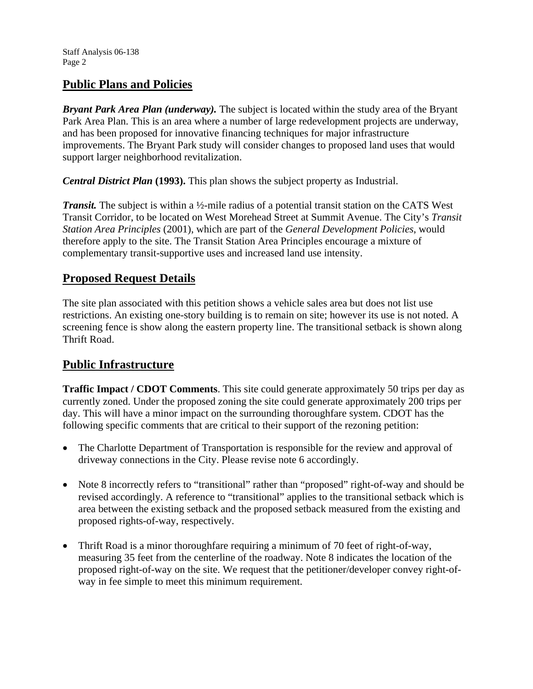# **Public Plans and Policies**

*Bryant Park Area Plan (underway).* The subject is located within the study area of the Bryant Park Area Plan. This is an area where a number of large redevelopment projects are underway, and has been proposed for innovative financing techniques for major infrastructure improvements. The Bryant Park study will consider changes to proposed land uses that would support larger neighborhood revitalization.

*Central District Plan* **(1993).** This plan shows the subject property as Industrial.

*Transit.* The subject is within a ½-mile radius of a potential transit station on the CATS West Transit Corridor, to be located on West Morehead Street at Summit Avenue. The City's *Transit Station Area Principles* (2001), which are part of the *General Development Policies*, would therefore apply to the site. The Transit Station Area Principles encourage a mixture of complementary transit-supportive uses and increased land use intensity.

## **Proposed Request Details**

The site plan associated with this petition shows a vehicle sales area but does not list use restrictions. An existing one-story building is to remain on site; however its use is not noted. A screening fence is show along the eastern property line. The transitional setback is shown along Thrift Road.

# **Public Infrastructure**

**Traffic Impact / CDOT Comments**. This site could generate approximately 50 trips per day as currently zoned. Under the proposed zoning the site could generate approximately 200 trips per day. This will have a minor impact on the surrounding thoroughfare system. CDOT has the following specific comments that are critical to their support of the rezoning petition:

- The Charlotte Department of Transportation is responsible for the review and approval of driveway connections in the City. Please revise note 6 accordingly.
- Note 8 incorrectly refers to "transitional" rather than "proposed" right-of-way and should be revised accordingly. A reference to "transitional" applies to the transitional setback which is area between the existing setback and the proposed setback measured from the existing and proposed rights-of-way, respectively.
- Thrift Road is a minor thoroughfare requiring a minimum of 70 feet of right-of-way, measuring 35 feet from the centerline of the roadway. Note 8 indicates the location of the proposed right-of-way on the site. We request that the petitioner/developer convey right-ofway in fee simple to meet this minimum requirement.